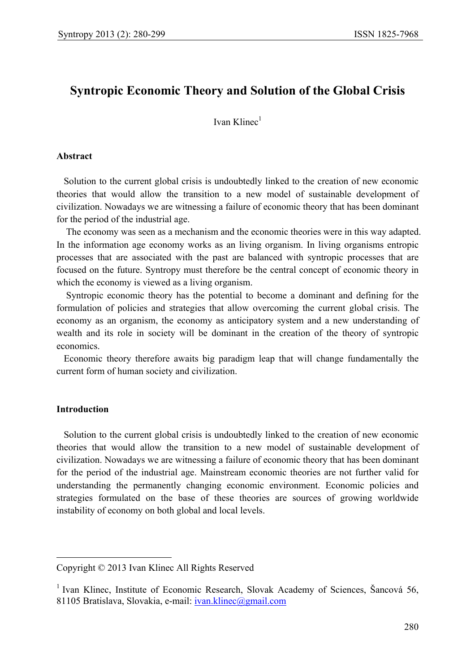# **Syntropic Economic Theory and Solution of the Global Crisis**

Ivan Klinec $<sup>1</sup>$ </sup>

### **Abstract**

 Solution to the current global crisis is undoubtedly linked to the creation of new economic theories that would allow the transition to a new model of sustainable development of civilization. Nowadays we are witnessing a failure of economic theory that has been dominant for the period of the industrial age.

 The economy was seen as a mechanism and the economic theories were in this way adapted. In the information age economy works as an living organism. In living organisms entropic processes that are associated with the past are balanced with syntropic processes that are focused on the future. Syntropy must therefore be the central concept of economic theory in which the economy is viewed as a living organism.

 Syntropic economic theory has the potential to become a dominant and defining for the formulation of policies and strategies that allow overcoming the current global crisis. The economy as an organism, the economy as anticipatory system and a new understanding of wealth and its role in society will be dominant in the creation of the theory of syntropic economics.

 Economic theory therefore awaits big paradigm leap that will change fundamentally the current form of human society and civilization.

### **Introduction**

1

 Solution to the current global crisis is undoubtedly linked to the creation of new economic theories that would allow the transition to a new model of sustainable development of civilization. Nowadays we are witnessing a failure of economic theory that has been dominant for the period of the industrial age. Mainstream economic theories are not further valid for understanding the permanently changing economic environment. Economic policies and strategies formulated on the base of these theories are sources of growing worldwide instability of economy on both global and local levels.

Copyright © 2013 Ivan Klinec All Rights Reserved

<sup>&</sup>lt;sup>1</sup> Ivan Klinec, Institute of Economic Research, Slovak Academy of Sciences, Šancová 56, 81105 Bratislava, Slovakia, e-mail: *ivan.klinec@gmail.com*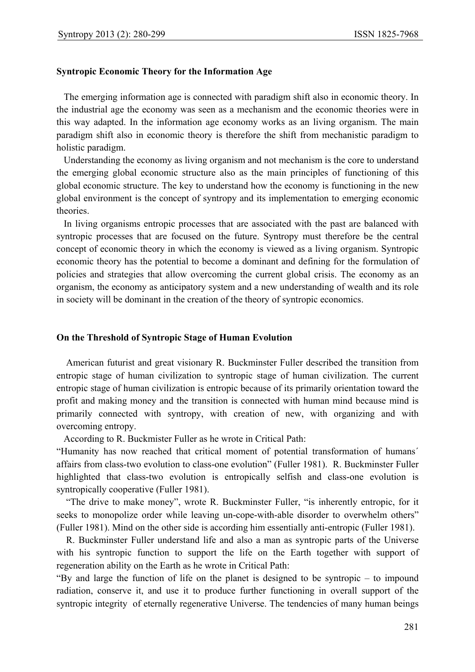### **Syntropic Economic Theory for the Information Age**

 The emerging information age is connected with paradigm shift also in economic theory. In the industrial age the economy was seen as a mechanism and the economic theories were in this way adapted. In the information age economy works as an living organism. The main paradigm shift also in economic theory is therefore the shift from mechanistic paradigm to holistic paradigm.

 Understanding the economy as living organism and not mechanism is the core to understand the emerging global economic structure also as the main principles of functioning of this global economic structure. The key to understand how the economy is functioning in the new global environment is the concept of syntropy and its implementation to emerging economic theories.

 In living organisms entropic processes that are associated with the past are balanced with syntropic processes that are focused on the future. Syntropy must therefore be the central concept of economic theory in which the economy is viewed as a living organism. Syntropic economic theory has the potential to become a dominant and defining for the formulation of policies and strategies that allow overcoming the current global crisis. The economy as an organism, the economy as anticipatory system and a new understanding of wealth and its role in society will be dominant in the creation of the theory of syntropic economics.

### **On the Threshold of Syntropic Stage of Human Evolution**

 American futurist and great visionary R. Buckminster Fuller described the transition from entropic stage of human civilization to syntropic stage of human civilization. The current entropic stage of human civilization is entropic because of its primarily orientation toward the profit and making money and the transition is connected with human mind because mind is primarily connected with syntropy, with creation of new, with organizing and with overcoming entropy.

According to R. Buckmister Fuller as he wrote in Critical Path:

"Humanity has now reached that critical moment of potential transformation of humans´ affairs from class-two evolution to class-one evolution" (Fuller 1981). R. Buckminster Fuller highlighted that class-two evolution is entropically selfish and class-one evolution is syntropically cooperative (Fuller 1981).

 "The drive to make money", wrote R. Buckminster Fuller, "is inherently entropic, for it seeks to monopolize order while leaving un-cope-with-able disorder to overwhelm others" (Fuller 1981). Mind on the other side is according him essentially anti-entropic (Fuller 1981).

 R. Buckminster Fuller understand life and also a man as syntropic parts of the Universe with his syntropic function to support the life on the Earth together with support of regeneration ability on the Earth as he wrote in Critical Path:

"By and large the function of life on the planet is designed to be syntropic – to impound radiation, conserve it, and use it to produce further functioning in overall support of the syntropic integrity of eternally regenerative Universe. The tendencies of many human beings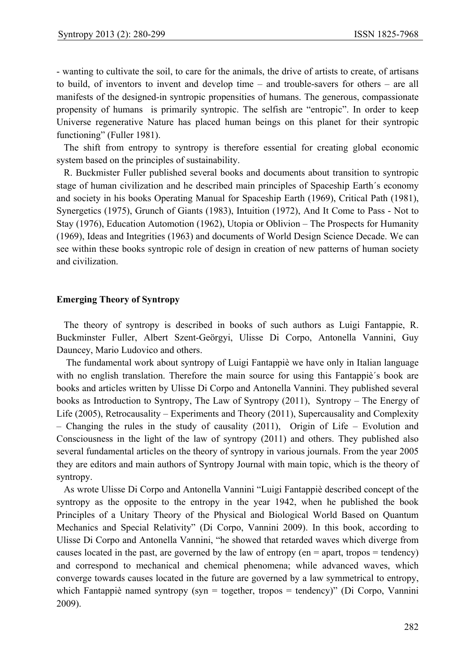- wanting to cultivate the soil, to care for the animals, the drive of artists to create, of artisans to build, of inventors to invent and develop time – and trouble-savers for others – are all manifests of the designed-in syntropic propensities of humans. The generous, compassionate propensity of humans is primarily syntropic. The selfish are "entropic". In order to keep Universe regenerative Nature has placed human beings on this planet for their syntropic functioning" (Fuller 1981).

 The shift from entropy to syntropy is therefore essential for creating global economic system based on the principles of sustainability.

 R. Buckmister Fuller published several books and documents about transition to syntropic stage of human civilization and he described main principles of Spaceship Earth´s economy and society in his books Operating Manual for Spaceship Earth (1969), Critical Path (1981), Synergetics (1975), Grunch of Giants (1983), Intuition (1972), And It Come to Pass - Not to Stay (1976), Education Automotion (1962), Utopia or Oblivion – The Prospects for Humanity (1969), Ideas and Integrities (1963) and documents of World Design Science Decade. We can see within these books syntropic role of design in creation of new patterns of human society and civilization.

### **Emerging Theory of Syntropy**

 The theory of syntropy is described in books of such authors as Luigi Fantappie, R. Buckminster Fuller, Albert Szent-Geörgyi, Ulisse Di Corpo, Antonella Vannini, Guy Dauncey, Mario Ludovico and others.

 The fundamental work about syntropy of Luigi Fantappiè we have only in Italian language with no english translation. Therefore the main source for using this Fantappie's book are books and articles written by Ulisse Di Corpo and Antonella Vannini. They published several books as Introduction to Syntropy, The Law of Syntropy (2011), Syntropy – The Energy of Life (2005), Retrocausality – Experiments and Theory (2011), Supercausality and Complexity – Changing the rules in the study of causality (2011), Origin of Life – Evolution and Consciousness in the light of the law of syntropy (2011) and others. They published also several fundamental articles on the theory of syntropy in various journals. From the year 2005 they are editors and main authors of Syntropy Journal with main topic, which is the theory of syntropy.

 As wrote Ulisse Di Corpo and Antonella Vannini "Luigi Fantappiè described concept of the syntropy as the opposite to the entropy in the year 1942, when he published the book Principles of a Unitary Theory of the Physical and Biological World Based on Quantum Mechanics and Special Relativity" (Di Corpo, Vannini 2009). In this book, according to Ulisse Di Corpo and Antonella Vannini, "he showed that retarded waves which diverge from causes located in the past, are governed by the law of entropy (en  $=$  apart, tropos  $=$  tendency) and correspond to mechanical and chemical phenomena; while advanced waves, which converge towards causes located in the future are governed by a law symmetrical to entropy, which Fantappiè named syntropy (syn = together, tropos = tendency)" (Di Corpo, Vannini 2009).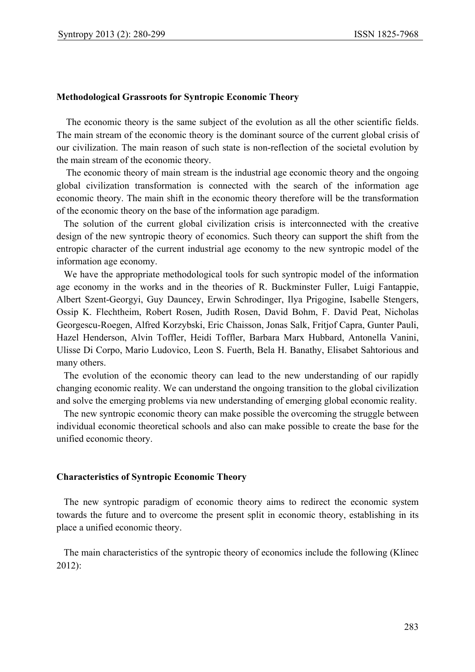### **Methodological Grassroots for Syntropic Economic Theory**

 The economic theory is the same subject of the evolution as all the other scientific fields. The main stream of the economic theory is the dominant source of the current global crisis of our civilization. The main reason of such state is non-reflection of the societal evolution by the main stream of the economic theory.

 The economic theory of main stream is the industrial age economic theory and the ongoing global civilization transformation is connected with the search of the information age economic theory. The main shift in the economic theory therefore will be the transformation of the economic theory on the base of the information age paradigm.

 The solution of the current global civilization crisis is interconnected with the creative design of the new syntropic theory of economics. Such theory can support the shift from the entropic character of the current industrial age economy to the new syntropic model of the information age economy.

 We have the appropriate methodological tools for such syntropic model of the information age economy in the works and in the theories of R. Buckminster Fuller, Luigi Fantappie, Albert Szent-Georgyi, Guy Dauncey, Erwin Schrodinger, Ilya Prigogine, Isabelle Stengers, Ossip K. Flechtheim, Robert Rosen, Judith Rosen, David Bohm, F. David Peat, Nicholas Georgescu-Roegen, Alfred Korzybski, Eric Chaisson, Jonas Salk, Fritjof Capra, Gunter Pauli, Hazel Henderson, Alvin Toffler, Heidi Toffler, Barbara Marx Hubbard, Antonella Vanini, Ulisse Di Corpo, Mario Ludovico, Leon S. Fuerth, Bela H. Banathy, Elisabet Sahtorious and many others.

 The evolution of the economic theory can lead to the new understanding of our rapidly changing economic reality. We can understand the ongoing transition to the global civilization and solve the emerging problems via new understanding of emerging global economic reality.

 The new syntropic economic theory can make possible the overcoming the struggle between individual economic theoretical schools and also can make possible to create the base for the unified economic theory.

#### **Characteristics of Syntropic Economic Theory**

 The new syntropic paradigm of economic theory aims to redirect the economic system towards the future and to overcome the present split in economic theory, establishing in its place a unified economic theory.

 The main characteristics of the syntropic theory of economics include the following (Klinec 2012):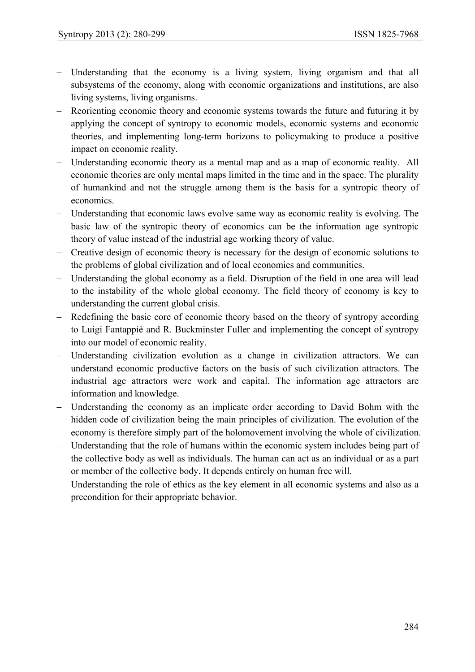- − Understanding that the economy is a living system, living organism and that all subsystems of the economy, along with economic organizations and institutions, are also living systems, living organisms.
- Reorienting economic theory and economic systems towards the future and futuring it by applying the concept of syntropy to economic models, economic systems and economic theories, and implementing long-term horizons to policymaking to produce a positive impact on economic reality.
- Understanding economic theory as a mental map and as a map of economic reality. All economic theories are only mental maps limited in the time and in the space. The plurality of humankind and not the struggle among them is the basis for a syntropic theory of economics.
- Understanding that economic laws evolve same way as economic reality is evolving. The basic law of the syntropic theory of economics can be the information age syntropic theory of value instead of the industrial age working theory of value.
- − Creative design of economic theory is necessary for the design of economic solutions to the problems of global civilization and of local economies and communities.
- − Understanding the global economy as a field. Disruption of the field in one area will lead to the instability of the whole global economy. The field theory of economy is key to understanding the current global crisis.
- − Redefining the basic core of economic theory based on the theory of syntropy according to Luigi Fantappiè and R. Buckminster Fuller and implementing the concept of syntropy into our model of economic reality.
- Understanding civilization evolution as a change in civilization attractors. We can understand economic productive factors on the basis of such civilization attractors. The industrial age attractors were work and capital. The information age attractors are information and knowledge.
- − Understanding the economy as an implicate order according to David Bohm with the hidden code of civilization being the main principles of civilization. The evolution of the economy is therefore simply part of the holomovement involving the whole of civilization.
- Understanding that the role of humans within the economic system includes being part of the collective body as well as individuals. The human can act as an individual or as a part or member of the collective body. It depends entirely on human free will.
- Understanding the role of ethics as the key element in all economic systems and also as a precondition for their appropriate behavior.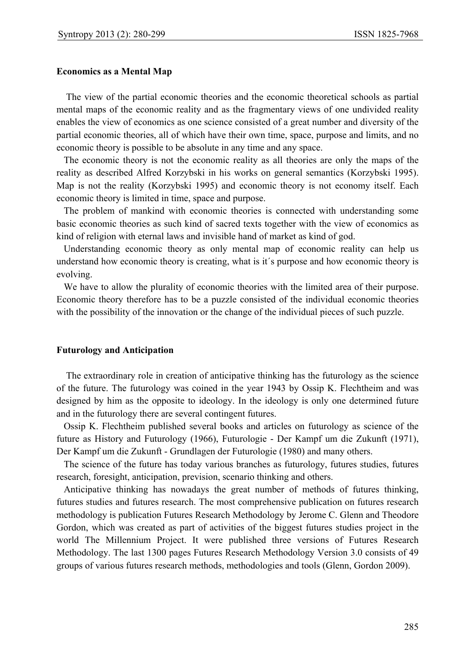#### **Economics as a Mental Map**

 The view of the partial economic theories and the economic theoretical schools as partial mental maps of the economic reality and as the fragmentary views of one undivided reality enables the view of economics as one science consisted of a great number and diversity of the partial economic theories, all of which have their own time, space, purpose and limits, and no economic theory is possible to be absolute in any time and any space.

 The economic theory is not the economic reality as all theories are only the maps of the reality as described Alfred Korzybski in his works on general semantics (Korzybski 1995). Map is not the reality (Korzybski 1995) and economic theory is not economy itself. Each economic theory is limited in time, space and purpose.

 The problem of mankind with economic theories is connected with understanding some basic economic theories as such kind of sacred texts together with the view of economics as kind of religion with eternal laws and invisible hand of market as kind of god.

 Understanding economic theory as only mental map of economic reality can help us understand how economic theory is creating, what is it´s purpose and how economic theory is evolving.

 We have to allow the plurality of economic theories with the limited area of their purpose. Economic theory therefore has to be a puzzle consisted of the individual economic theories with the possibility of the innovation or the change of the individual pieces of such puzzle.

#### **Futurology and Anticipation**

 The extraordinary role in creation of anticipative thinking has the futurology as the science of the future. The futurology was coined in the year 1943 by Ossip K. Flechtheim and was designed by him as the opposite to ideology. In the ideology is only one determined future and in the futurology there are several contingent futures.

 Ossip K. Flechtheim published several books and articles on futurology as science of the future as History and Futurology (1966), Futurologie - Der Kampf um die Zukunft (1971), Der Kampf um die Zukunft - Grundlagen der Futurologie (1980) and many others.

 The science of the future has today various branches as futurology, futures studies, futures research, foresight, anticipation, prevision, scenario thinking and others.

 Anticipative thinking has nowadays the great number of methods of futures thinking, futures studies and futures research. The most comprehensive publication on futures research methodology is publication Futures Research Methodology by Jerome C. Glenn and Theodore Gordon, which was created as part of activities of the biggest futures studies project in the world The Millennium Project. It were published three versions of Futures Research Methodology. The last 1300 pages Futures Research Methodology Version 3.0 consists of 49 groups of various futures research methods, methodologies and tools (Glenn, Gordon 2009).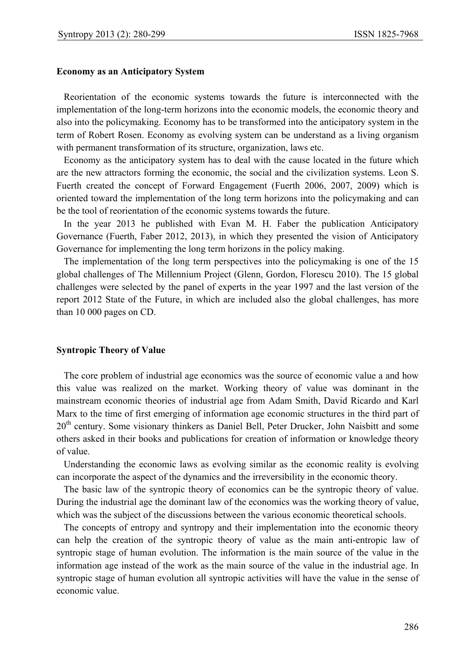#### **Economy as an Anticipatory System**

Reorientation of the economic systems towards the future is interconnected with the implementation of the long-term horizons into the economic models, the economic theory and also into the policymaking. Economy has to be transformed into the anticipatory system in the term of Robert Rosen. Economy as evolving system can be understand as a living organism with permanent transformation of its structure, organization, laws etc.

 Economy as the anticipatory system has to deal with the cause located in the future which are the new attractors forming the economic, the social and the civilization systems. Leon S. Fuerth created the concept of Forward Engagement (Fuerth 2006, 2007, 2009) which is oriented toward the implementation of the long term horizons into the policymaking and can be the tool of reorientation of the economic systems towards the future.

 In the year 2013 he published with Evan M. H. Faber the publication Anticipatory Governance (Fuerth, Faber 2012, 2013), in which they presented the vision of Anticipatory Governance for implementing the long term horizons in the policy making.

 The implementation of the long term perspectives into the policymaking is one of the 15 global challenges of The Millennium Project (Glenn, Gordon, Florescu 2010). The 15 global challenges were selected by the panel of experts in the year 1997 and the last version of the report 2012 State of the Future, in which are included also the global challenges, has more than 10 000 pages on CD.

#### **Syntropic Theory of Value**

 The core problem of industrial age economics was the source of economic value a and how this value was realized on the market. Working theory of value was dominant in the mainstream economic theories of industrial age from Adam Smith, David Ricardo and Karl Marx to the time of first emerging of information age economic structures in the third part of 20<sup>th</sup> century. Some visionary thinkers as Daniel Bell, Peter Drucker, John Naisbitt and some others asked in their books and publications for creation of information or knowledge theory of value.

 Understanding the economic laws as evolving similar as the economic reality is evolving can incorporate the aspect of the dynamics and the irreversibility in the economic theory.

 The basic law of the syntropic theory of economics can be the syntropic theory of value. During the industrial age the dominant law of the economics was the working theory of value, which was the subject of the discussions between the various economic theoretical schools.

 The concepts of entropy and syntropy and their implementation into the economic theory can help the creation of the syntropic theory of value as the main anti-entropic law of syntropic stage of human evolution. The information is the main source of the value in the information age instead of the work as the main source of the value in the industrial age. In syntropic stage of human evolution all syntropic activities will have the value in the sense of economic value.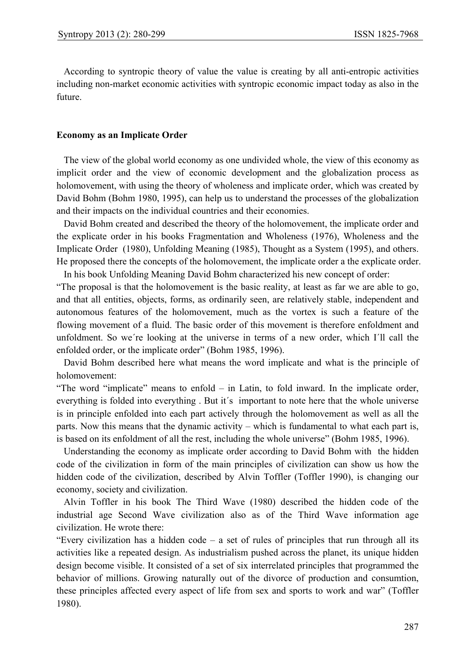According to syntropic theory of value the value is creating by all anti-entropic activities including non-market economic activities with syntropic economic impact today as also in the future.

#### **Economy as an Implicate Order**

 The view of the global world economy as one undivided whole, the view of this economy as implicit order and the view of economic development and the globalization process as holomovement, with using the theory of wholeness and implicate order, which was created by David Bohm (Bohm 1980, 1995), can help us to understand the processes of the globalization and their impacts on the individual countries and their economies.

 David Bohm created and described the theory of the holomovement, the implicate order and the explicate order in his books Fragmentation and Wholeness (1976), Wholeness and the Implicate Order (1980), Unfolding Meaning (1985), Thought as a System (1995), and others. He proposed there the concepts of the holomovement, the implicate order a the explicate order. In his book Unfolding Meaning David Bohm characterized his new concept of order:

"The proposal is that the holomovement is the basic reality, at least as far we are able to go, and that all entities, objects, forms, as ordinarily seen, are relatively stable, independent and autonomous features of the holomovement, much as the vortex is such a feature of the flowing movement of a fluid. The basic order of this movement is therefore enfoldment and unfoldment. So we´re looking at the universe in terms of a new order, which I´ll call the enfolded order, or the implicate order" (Bohm 1985, 1996).

 David Bohm described here what means the word implicate and what is the principle of holomovement:

"The word "implicate" means to enfold – in Latin, to fold inward. In the implicate order, everything is folded into everything . But it´s important to note here that the whole universe is in principle enfolded into each part actively through the holomovement as well as all the parts. Now this means that the dynamic activity – which is fundamental to what each part is, is based on its enfoldment of all the rest, including the whole universe" (Bohm 1985, 1996).

 Understanding the economy as implicate order according to David Bohm with the hidden code of the civilization in form of the main principles of civilization can show us how the hidden code of the civilization, described by Alvin Toffler (Toffler 1990), is changing our economy, society and civilization.

 Alvin Toffler in his book The Third Wave (1980) described the hidden code of the industrial age Second Wave civilization also as of the Third Wave information age civilization. He wrote there:

"Every civilization has a hidden code – a set of rules of principles that run through all its activities like a repeated design. As industrialism pushed across the planet, its unique hidden design become visible. It consisted of a set of six interrelated principles that programmed the behavior of millions. Growing naturally out of the divorce of production and consumtion, these principles affected every aspect of life from sex and sports to work and war" (Toffler 1980).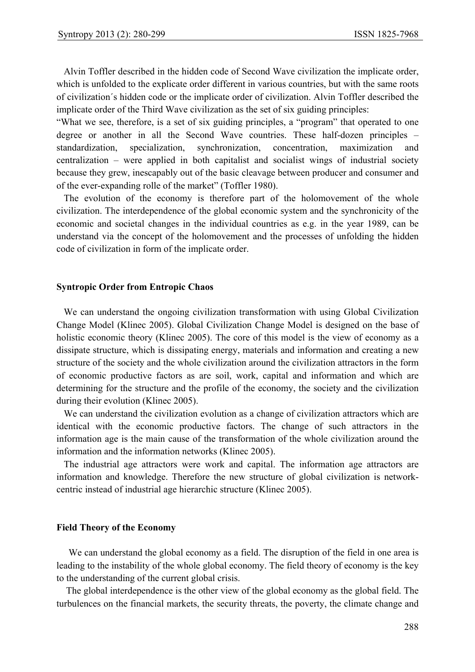Alvin Toffler described in the hidden code of Second Wave civilization the implicate order, which is unfolded to the explicate order different in various countries, but with the same roots of civilization´s hidden code or the implicate order of civilization. Alvin Toffler described the implicate order of the Third Wave civilization as the set of six guiding principles:

"What we see, therefore, is a set of six guiding principles, a "program" that operated to one degree or another in all the Second Wave countries. These half-dozen principles – standardization, specialization, synchronization, concentration, maximization and centralization – were applied in both capitalist and socialist wings of industrial society because they grew, inescapably out of the basic cleavage between producer and consumer and of the ever-expanding rolle of the market" (Toffler 1980).

 The evolution of the economy is therefore part of the holomovement of the whole civilization. The interdependence of the global economic system and the synchronicity of the economic and societal changes in the individual countries as e.g. in the year 1989, can be understand via the concept of the holomovement and the processes of unfolding the hidden code of civilization in form of the implicate order.

### **Syntropic Order from Entropic Chaos**

 We can understand the ongoing civilization transformation with using Global Civilization Change Model (Klinec 2005). Global Civilization Change Model is designed on the base of holistic economic theory (Klinec 2005). The core of this model is the view of economy as a dissipate structure, which is dissipating energy, materials and information and creating a new structure of the society and the whole civilization around the civilization attractors in the form of economic productive factors as are soil, work, capital and information and which are determining for the structure and the profile of the economy, the society and the civilization during their evolution (Klinec 2005).

 We can understand the civilization evolution as a change of civilization attractors which are identical with the economic productive factors. The change of such attractors in the information age is the main cause of the transformation of the whole civilization around the information and the information networks (Klinec 2005).

 The industrial age attractors were work and capital. The information age attractors are information and knowledge. Therefore the new structure of global civilization is networkcentric instead of industrial age hierarchic structure (Klinec 2005).

#### **Field Theory of the Economy**

 We can understand the global economy as a field. The disruption of the field in one area is leading to the instability of the whole global economy. The field theory of economy is the key to the understanding of the current global crisis.

 The global interdependence is the other view of the global economy as the global field. The turbulences on the financial markets, the security threats, the poverty, the climate change and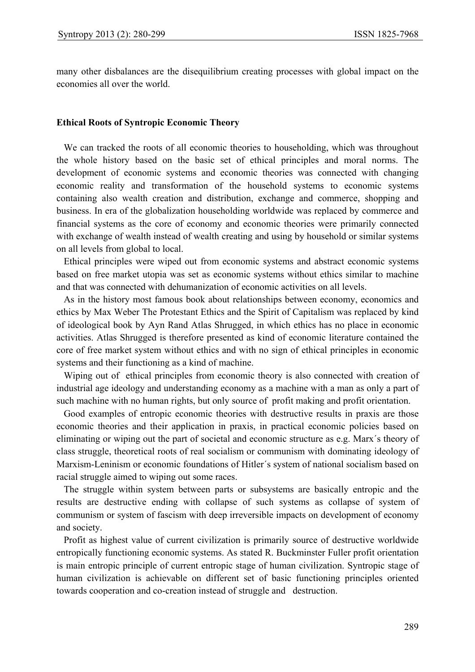many other disbalances are the disequilibrium creating processes with global impact on the economies all over the world.

### **Ethical Roots of Syntropic Economic Theory**

We can tracked the roots of all economic theories to householding, which was throughout the whole history based on the basic set of ethical principles and moral norms. The development of economic systems and economic theories was connected with changing economic reality and transformation of the household systems to economic systems containing also wealth creation and distribution, exchange and commerce, shopping and business. In era of the globalization householding worldwide was replaced by commerce and financial systems as the core of economy and economic theories were primarily connected with exchange of wealth instead of wealth creating and using by household or similar systems on all levels from global to local.

 Ethical principles were wiped out from economic systems and abstract economic systems based on free market utopia was set as economic systems without ethics similar to machine and that was connected with dehumanization of economic activities on all levels.

 As in the history most famous book about relationships between economy, economics and ethics by Max Weber The Protestant Ethics and the Spirit of Capitalism was replaced by kind of ideological book by Ayn Rand Atlas Shrugged, in which ethics has no place in economic activities. Atlas Shrugged is therefore presented as kind of economic literature contained the core of free market system without ethics and with no sign of ethical principles in economic systems and their functioning as a kind of machine.

 Wiping out of ethical principles from economic theory is also connected with creation of industrial age ideology and understanding economy as a machine with a man as only a part of such machine with no human rights, but only source of profit making and profit orientation.

 Good examples of entropic economic theories with destructive results in praxis are those economic theories and their application in praxis, in practical economic policies based on eliminating or wiping out the part of societal and economic structure as e.g. Marx´s theory of class struggle, theoretical roots of real socialism or communism with dominating ideology of Marxism-Leninism or economic foundations of Hitler´s system of national socialism based on racial struggle aimed to wiping out some races.

 The struggle within system between parts or subsystems are basically entropic and the results are destructive ending with collapse of such systems as collapse of system of communism or system of fascism with deep irreversible impacts on development of economy and society.

 Profit as highest value of current civilization is primarily source of destructive worldwide entropically functioning economic systems. As stated R. Buckminster Fuller profit orientation is main entropic principle of current entropic stage of human civilization. Syntropic stage of human civilization is achievable on different set of basic functioning principles oriented towards cooperation and co-creation instead of struggle and destruction.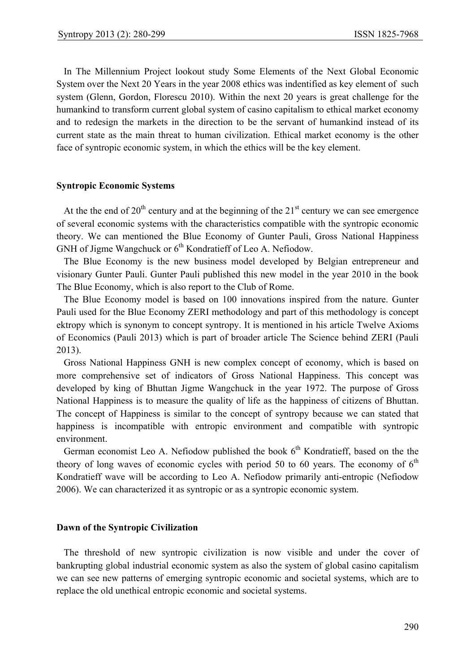In The Millennium Project lookout study Some Elements of the Next Global Economic System over the Next 20 Years in the year 2008 ethics was indentified as key element of such system (Glenn, Gordon, Florescu 2010). Within the next 20 years is great challenge for the humankind to transform current global system of casino capitalism to ethical market economy and to redesign the markets in the direction to be the servant of humankind instead of its current state as the main threat to human civilization. Ethical market economy is the other face of syntropic economic system, in which the ethics will be the key element.

### **Syntropic Economic Systems**

At the the end of  $20<sup>th</sup>$  century and at the beginning of the  $21<sup>st</sup>$  century we can see emergence of several economic systems with the characteristics compatible with the syntropic economic theory. We can mentioned the Blue Economy of Gunter Pauli, Gross National Happiness GNH of Jigme Wangchuck or  $6<sup>th</sup>$  Kondratieff of Leo A. Nefiodow.

 The Blue Economy is the new business model developed by Belgian entrepreneur and visionary Gunter Pauli. Gunter Pauli published this new model in the year 2010 in the book The Blue Economy, which is also report to the Club of Rome.

 The Blue Economy model is based on 100 innovations inspired from the nature. Gunter Pauli used for the Blue Economy ZERI methodology and part of this methodology is concept ektropy which is synonym to concept syntropy. It is mentioned in his article Twelve Axioms of Economics (Pauli 2013) which is part of broader article The Science behind ZERI (Pauli 2013).

 Gross National Happiness GNH is new complex concept of economy, which is based on more comprehensive set of indicators of Gross National Happiness. This concept was developed by king of Bhuttan Jigme Wangchuck in the year 1972. The purpose of Gross National Happiness is to measure the quality of life as the happiness of citizens of Bhuttan. The concept of Happiness is similar to the concept of syntropy because we can stated that happiness is incompatible with entropic environment and compatible with syntropic environment.

German economist Leo A. Nefiodow published the book  $6<sup>th</sup>$  Kondratieff, based on the the theory of long waves of economic cycles with period 50 to 60 years. The economy of  $6<sup>th</sup>$ Kondratieff wave will be according to Leo A. Nefiodow primarily anti-entropic (Nefiodow 2006). We can characterized it as syntropic or as a syntropic economic system.

### **Dawn of the Syntropic Civilization**

 The threshold of new syntropic civilization is now visible and under the cover of bankrupting global industrial economic system as also the system of global casino capitalism we can see new patterns of emerging syntropic economic and societal systems, which are to replace the old unethical entropic economic and societal systems.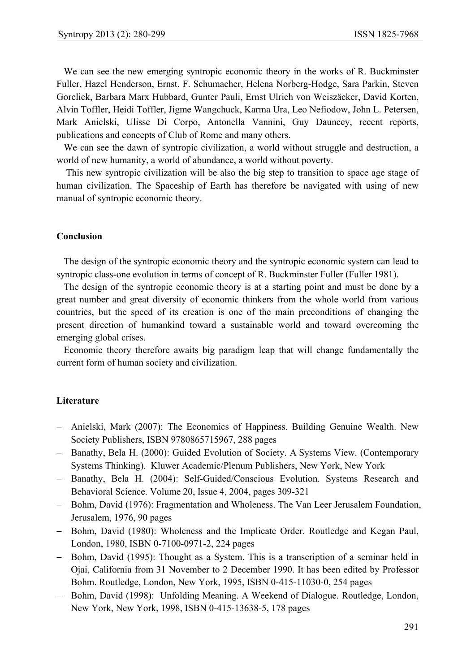We can see the new emerging syntropic economic theory in the works of R. Buckminster Fuller, Hazel Henderson, Ernst. F. Schumacher, Helena Norberg-Hodge, Sara Parkin, Steven Gorelick, Barbara Marx Hubbard, Gunter Pauli, Ernst Ulrich von Weiszäcker, David Korten, Alvin Toffler, Heidi Toffler, Jigme Wangchuck, Karma Ura, Leo Nefiodow, John L. Petersen, Mark Anielski, Ulisse Di Corpo, Antonella Vannini, Guy Dauncey, recent reports, publications and concepts of Club of Rome and many others.

 We can see the dawn of syntropic civilization, a world without struggle and destruction, a world of new humanity, a world of abundance, a world without poverty.

 This new syntropic civilization will be also the big step to transition to space age stage of human civilization. The Spaceship of Earth has therefore be navigated with using of new manual of syntropic economic theory.

# **Conclusion**

 The design of the syntropic economic theory and the syntropic economic system can lead to syntropic class-one evolution in terms of concept of R. Buckminster Fuller (Fuller 1981).

 The design of the syntropic economic theory is at a starting point and must be done by a great number and great diversity of economic thinkers from the whole world from various countries, but the speed of its creation is one of the main preconditions of changing the present direction of humankind toward a sustainable world and toward overcoming the emerging global crises.

 Economic theory therefore awaits big paradigm leap that will change fundamentally the current form of human society and civilization.

# **Literature**

- − Anielski, Mark (2007): The Economics of Happiness. Building Genuine Wealth. New Society Publishers, ISBN 9780865715967, 288 pages
- − Banathy, Bela H. (2000): Guided Evolution of Society. A Systems View. (Contemporary Systems Thinking). Kluwer Academic/Plenum Publishers, New York, New York
- − Banathy, Bela H. (2004): Self-Guided/Conscious Evolution. Systems Research and Behavioral Science. Volume 20, Issue 4, 2004, pages 309-321
- − Bohm, David (1976): Fragmentation and Wholeness. The Van Leer Jerusalem Foundation, Jerusalem, 1976, 90 pages
- − Bohm, David (1980): Wholeness and the Implicate Order. Routledge and Kegan Paul, London, 1980, ISBN 0-7100-0971-2, 224 pages
- − Bohm, David (1995): Thought as a System. This is a transcription of a seminar held in Ojai, California from 31 November to 2 December 1990. It has been edited by Professor Bohm. Routledge, London, New York, 1995, ISBN 0-415-11030-0, 254 pages
- − Bohm, David (1998): Unfolding Meaning. A Weekend of Dialogue. Routledge, London, New York, New York, 1998, ISBN 0-415-13638-5, 178 pages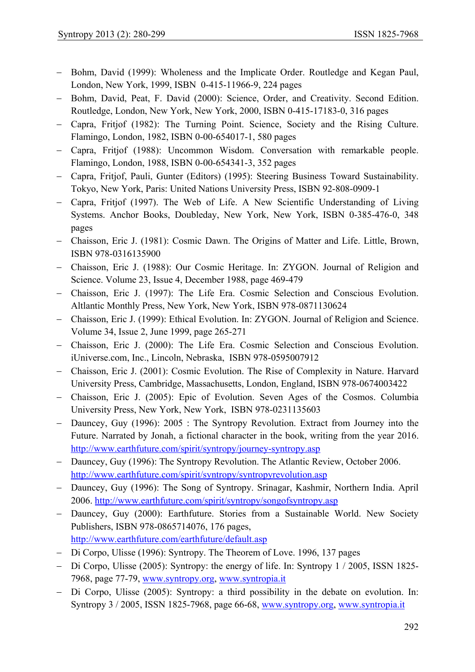- − Bohm, David (1999): Wholeness and the Implicate Order. Routledge and Kegan Paul, London, New York, 1999, ISBN 0-415-11966-9, 224 pages
- − Bohm, David, Peat, F. David (2000): Science, Order, and Creativity. Second Edition. Routledge, London, New York, New York, 2000, ISBN 0-415-17183-0, 316 pages
- − Capra, Fritjof (1982): The Turning Point. Science, Society and the Rising Culture. Flamingo, London, 1982, ISBN 0-00-654017-1, 580 pages
- − Capra, Fritjof (1988): Uncommon Wisdom. Conversation with remarkable people. Flamingo, London, 1988, ISBN 0-00-654341-3, 352 pages
- − Capra, Fritjof, Pauli, Gunter (Editors) (1995): Steering Business Toward Sustainability. Tokyo, New York, Paris: United Nations University Press, ISBN 92-808-0909-1
- − Capra, Fritjof (1997). The Web of Life. A New Scientific Understanding of Living Systems. Anchor Books, Doubleday, New York, New York, ISBN 0-385-476-0, 348 pages
- − Chaisson, Eric J. (1981): Cosmic Dawn. The Origins of Matter and Life. Little, Brown, ISBN 978-0316135900
- − Chaisson, Eric J. (1988): Our Cosmic Heritage. In: ZYGON. Journal of Religion and Science. Volume 23, Issue 4, December 1988, page 469-479
- − Chaisson, Eric J. (1997): The Life Era. Cosmic Selection and Conscious Evolution. Altlantic Monthly Press, New York, New York, ISBN 978-0871130624
- − Chaisson, Eric J. (1999): Ethical Evolution. In: ZYGON. Journal of Religion and Science. Volume 34, Issue 2, June 1999, page 265-271
- − Chaisson, Eric J. (2000): The Life Era. Cosmic Selection and Conscious Evolution. iUniverse.com, Inc., Lincoln, Nebraska, ISBN 978-0595007912
- − Chaisson, Eric J. (2001): Cosmic Evolution. The Rise of Complexity in Nature. Harvard University Press, Cambridge, Massachusetts, London, England, ISBN 978-0674003422
- − Chaisson, Eric J. (2005): Epic of Evolution. Seven Ages of the Cosmos. Columbia University Press, New York, New York, ISBN 978-0231135603
- − Dauncey, Guy (1996): 2005 : The Syntropy Revolution. Extract from Journey into the Future. Narrated by Jonah, a fictional character in the book, writing from the year 2016. http://www.earthfuture.com/spirit/syntropy/journey-syntropy.asp
- − Dauncey, Guy (1996): The Syntropy Revolution. The Atlantic Review, October 2006. http://www.earthfuture.com/spirit/syntropy/syntropyrevolution.asp
- − Dauncey, Guy (1996): The Song of Syntropy. Srinagar, Kashmir, Northern India. April 2006. http://www.earthfuture.com/spirit/syntropy/songofsyntropy.asp
- − Dauncey, Guy (2000): Earthfuture. Stories from a Sustainable World. New Society Publishers, ISBN 978-0865714076, 176 pages, http://www.earthfuture.com/earthfuture/default.asp
- − Di Corpo, Ulisse (1996): Syntropy. The Theorem of Love. 1996, 137 pages
- − Di Corpo, Ulisse (2005): Syntropy: the energy of life. In: Syntropy 1 / 2005, ISSN 1825- 7968, page 77-79, www.syntropy.org, www.syntropia.it
- − Di Corpo, Ulisse (2005): Syntropy: a third possibility in the debate on evolution. In: Syntropy 3 / 2005, ISSN 1825-7968, page 66-68, www.syntropy.org, www.syntropia.it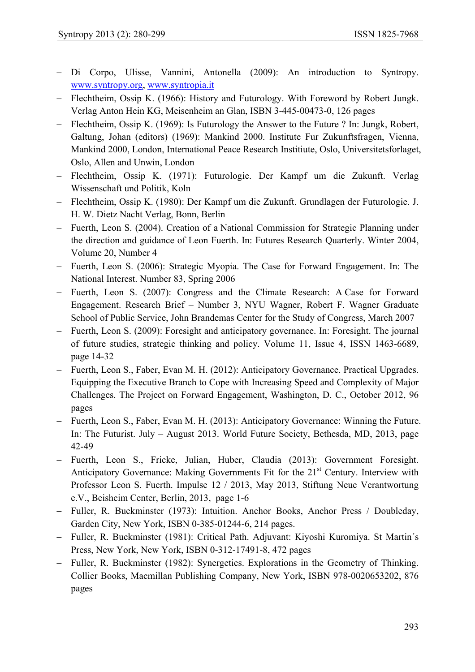- − Di Corpo, Ulisse, Vannini, Antonella (2009): An introduction to Syntropy. www.syntropy.org, www.syntropia.it
- − Flechtheim, Ossip K. (1966): History and Futurology. With Foreword by Robert Jungk. Verlag Anton Hein KG, Meisenheim an Glan, ISBN 3-445-00473-0, 126 pages
- − Flechtheim, Ossip K. (1969): Is Futurology the Answer to the Future ? In: Jungk, Robert, Galtung, Johan (editors) (1969): Mankind 2000. Institute Fur Zukunftsfragen, Vienna, Mankind 2000, London, International Peace Research Institiute, Oslo, Universitetsforlaget, Oslo, Allen and Unwin, London
- − Flechtheim, Ossip K. (1971): Futurologie. Der Kampf um die Zukunft. Verlag Wissenschaft und Politik, Koln
- − Flechtheim, Ossip K. (1980): Der Kampf um die Zukunft. Grundlagen der Futurologie. J. H. W. Dietz Nacht Verlag, Bonn, Berlin
- − Fuerth, Leon S. (2004). Creation of a National Commission for Strategic Planning under the direction and guidance of Leon Fuerth. In: Futures Research Quarterly. Winter 2004, Volume 20, Number 4
- − Fuerth, Leon S. (2006): Strategic Myopia. The Case for Forward Engagement. In: The National Interest. Number 83, Spring 2006
- − Fuerth, Leon S. (2007): Congress and the Climate Research: A Case for Forward Engagement. Research Brief – Number 3, NYU Wagner, Robert F. Wagner Graduate School of Public Service, John Brandemas Center for the Study of Congress, March 2007
- Fuerth, Leon S. (2009): Foresight and anticipatory governance. In: Foresight. The journal of future studies, strategic thinking and policy. Volume 11, Issue 4, ISSN 1463-6689, page 14-32
- − Fuerth, Leon S., Faber, Evan M. H. (2012): Anticipatory Governance. Practical Upgrades. Equipping the Executive Branch to Cope with Increasing Speed and Complexity of Major Challenges. The Project on Forward Engagement, Washington, D. C., October 2012, 96 pages
- Fuerth, Leon S., Faber, Evan M. H. (2013): Anticipatory Governance: Winning the Future. In: The Futurist. July – August 2013. World Future Society, Bethesda, MD, 2013, page 42-49
- − Fuerth, Leon S., Fricke, Julian, Huber, Claudia (2013): Government Foresight. Anticipatory Governance: Making Governments Fit for the 21<sup>st</sup> Century. Interview with Professor Leon S. Fuerth. Impulse 12 / 2013, May 2013, Stiftung Neue Verantwortung e.V., Beisheim Center, Berlin, 2013, page 1-6
- − Fuller, R. Buckminster (1973): Intuition. Anchor Books, Anchor Press / Doubleday, Garden City, New York, ISBN 0-385-01244-6, 214 pages.
- − Fuller, R. Buckminster (1981): Critical Path. Adjuvant: Kiyoshi Kuromiya. St Martin´s Press, New York, New York, ISBN 0-312-17491-8, 472 pages
- − Fuller, R. Buckminster (1982): Synergetics. Explorations in the Geometry of Thinking. Collier Books, Macmillan Publishing Company, New York, ISBN 978-0020653202, 876 pages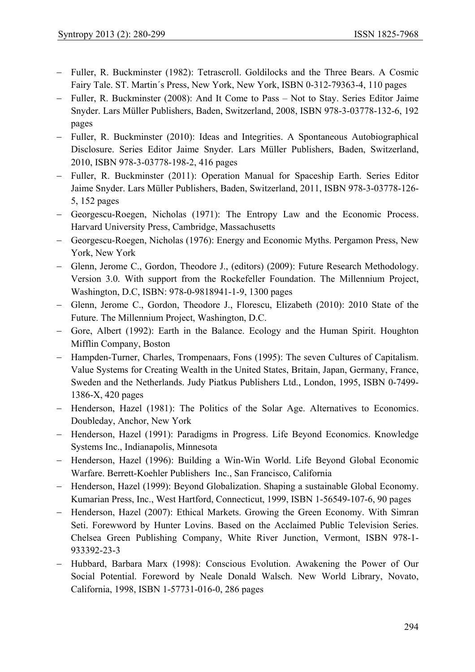- − Fuller, R. Buckminster (1982): Tetrascroll. Goldilocks and the Three Bears. A Cosmic Fairy Tale. ST. Martin´s Press, New York, New York, ISBN 0-312-79363-4, 110 pages
- − Fuller, R. Buckminster (2008): And It Come to Pass Not to Stay. Series Editor Jaime Snyder. Lars Müller Publishers, Baden, Switzerland, 2008, ISBN 978-3-03778-132-6, 192 pages
- − Fuller, R. Buckminster (2010): Ideas and Integrities. A Spontaneous Autobiographical Disclosure. Series Editor Jaime Snyder. Lars Müller Publishers, Baden, Switzerland, 2010, ISBN 978-3-03778-198-2, 416 pages
- − Fuller, R. Buckminster (2011): Operation Manual for Spaceship Earth. Series Editor Jaime Snyder. Lars Müller Publishers, Baden, Switzerland, 2011, ISBN 978-3-03778-126- 5, 152 pages
- − Georgescu-Roegen, Nicholas (1971): The Entropy Law and the Economic Process. Harvard University Press, Cambridge, Massachusetts
- − Georgescu-Roegen, Nicholas (1976): Energy and Economic Myths. Pergamon Press, New York, New York
- − Glenn, Jerome C., Gordon, Theodore J., (editors) (2009): Future Research Methodology. Version 3.0. With support from the Rockefeller Foundation. The Millennium Project, Washington, D.C, ISBN: 978-0-9818941-1-9, 1300 pages
- − Glenn, Jerome C., Gordon, Theodore J., Florescu, Elizabeth (2010): 2010 State of the Future. The Millennium Project, Washington, D.C.
- − Gore, Albert (1992): Earth in the Balance. Ecology and the Human Spirit. Houghton Mifflin Company, Boston
- − Hampden-Turner, Charles, Trompenaars, Fons (1995): The seven Cultures of Capitalism. Value Systems for Creating Wealth in the United States, Britain, Japan, Germany, France, Sweden and the Netherlands. Judy Piatkus Publishers Ltd., London, 1995, ISBN 0-7499- 1386-X, 420 pages
- − Henderson, Hazel (1981): The Politics of the Solar Age. Alternatives to Economics. Doubleday, Anchor, New York
- − Henderson, Hazel (1991): Paradigms in Progress. Life Beyond Economics. Knowledge Systems Inc., Indianapolis, Minnesota
- − Henderson, Hazel (1996): Building a Win-Win World. Life Beyond Global Economic Warfare. Berrett-Koehler Publishers Inc., San Francisco, California
- − Henderson, Hazel (1999): Beyond Globalization. Shaping a sustainable Global Economy. Kumarian Press, Inc., West Hartford, Connecticut, 1999, ISBN 1-56549-107-6, 90 pages
- − Henderson, Hazel (2007): Ethical Markets. Growing the Green Economy. With Simran Seti. Forewword by Hunter Lovins. Based on the Acclaimed Public Television Series. Chelsea Green Publishing Company, White River Junction, Vermont, ISBN 978-1- 933392-23-3
- − Hubbard, Barbara Marx (1998): Conscious Evolution. Awakening the Power of Our Social Potential. Foreword by Neale Donald Walsch. New World Library, Novato, California, 1998, ISBN 1-57731-016-0, 286 pages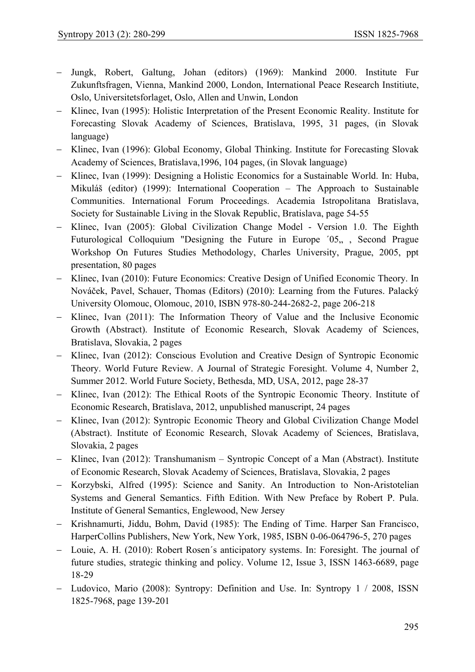- − Jungk, Robert, Galtung, Johan (editors) (1969): Mankind 2000. Institute Fur Zukunftsfragen, Vienna, Mankind 2000, London, International Peace Research Institiute, Oslo, Universitetsforlaget, Oslo, Allen and Unwin, London
- − Klinec, Ivan (1995): Holistic Interpretation of the Present Economic Reality. Institute for Forecasting Slovak Academy of Sciences, Bratislava, 1995, 31 pages, (in Slovak language)
- − Klinec, Ivan (1996): Global Economy, Global Thinking. Institute for Forecasting Slovak Academy of Sciences, Bratislava,1996, 104 pages, (in Slovak language)
- − Klinec, Ivan (1999): Designing a Holistic Economics for a Sustainable World. In: Huba, Mikuláš (editor) (1999): International Cooperation – The Approach to Sustainable Communities. International Forum Proceedings. Academia Istropolitana Bratislava, Society for Sustainable Living in the Slovak Republic, Bratislava, page 54-55
- Klinec, Ivan (2005): Global Civilization Change Model Version 1.0. The Eighth Futurological Colloquium "Designing the Future in Europe '05, a Second Prague Workshop On Futures Studies Methodology, Charles University, Prague, 2005, ppt presentation, 80 pages
- − Klinec, Ivan (2010): Future Economics: Creative Design of Unified Economic Theory. In Nováček, Pavel, Schauer, Thomas (Editors) (2010): Learning from the Futures. Palacký University Olomouc, Olomouc, 2010, ISBN 978-80-244-2682-2, page 206-218
- − Klinec, Ivan (2011): The Information Theory of Value and the Inclusive Economic Growth (Abstract). Institute of Economic Research, Slovak Academy of Sciences, Bratislava, Slovakia, 2 pages
- − Klinec, Ivan (2012): Conscious Evolution and Creative Design of Syntropic Economic Theory. World Future Review. A Journal of Strategic Foresight. Volume 4, Number 2, Summer 2012. World Future Society, Bethesda, MD, USA, 2012, page 28-37
- − Klinec, Ivan (2012): The Ethical Roots of the Syntropic Economic Theory. Institute of Economic Research, Bratislava, 2012, unpublished manuscript, 24 pages
- − Klinec, Ivan (2012): Syntropic Economic Theory and Global Civilization Change Model (Abstract). Institute of Economic Research, Slovak Academy of Sciences, Bratislava, Slovakia, 2 pages
- − Klinec, Ivan (2012): Transhumanism Syntropic Concept of a Man (Abstract). Institute of Economic Research, Slovak Academy of Sciences, Bratislava, Slovakia, 2 pages
- − Korzybski, Alfred (1995): Science and Sanity. An Introduction to Non-Aristotelian Systems and General Semantics. Fifth Edition. With New Preface by Robert P. Pula. Institute of General Semantics, Englewood, New Jersey
- − Krishnamurti, Jiddu, Bohm, David (1985): The Ending of Time. Harper San Francisco, HarperCollins Publishers, New York, New York, 1985, ISBN 0-06-064796-5, 270 pages
- − Louie, A. H. (2010): Robert Rosen´s anticipatory systems. In: Foresight. The journal of future studies, strategic thinking and policy. Volume 12, Issue 3, ISSN 1463-6689, page 18-29
- − Ludovico, Mario (2008): Syntropy: Definition and Use. In: Syntropy 1 / 2008, ISSN 1825-7968, page 139-201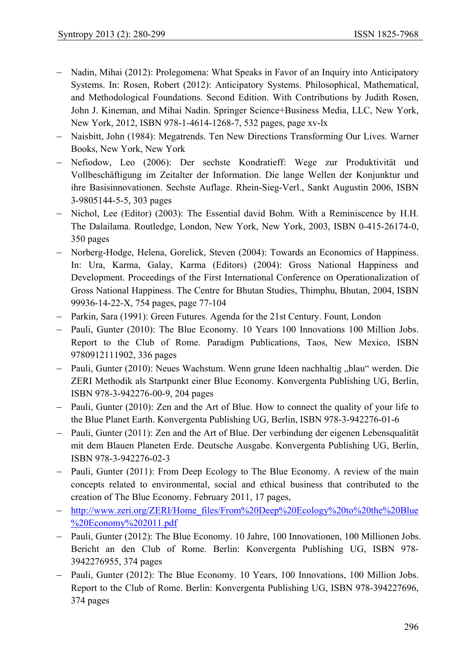- − Nadin, Mihai (2012): Prolegomena: What Speaks in Favor of an Inquiry into Anticipatory Systems. In: Rosen, Robert (2012): Anticipatory Systems. Philosophical, Mathematical, and Methodological Foundations. Second Edition. With Contributions by Judith Rosen, John J. Kineman, and Mihai Nadin. Springer Science+Business Media, LLC, New York, New York, 2012, ISBN 978-1-4614-1268-7, 532 pages, page xv-lx
- − Naisbitt, John (1984): Megatrends. Ten New Directions Transforming Our Lives. Warner Books, New York, New York
- − Nefiodow, Leo (2006): Der sechste Kondratieff: Wege zur Produktivität und Vollbeschäftigung im Zeitalter der Information. Die lange Wellen der Konjunktur und ihre Basisinnovationen. Sechste Auflage. Rhein-Sieg-Verl., Sankt Augustin 2006, ISBN 3-9805144-5-5, 303 pages
- − Nichol, Lee (Editor) (2003): The Essential david Bohm. With a Reminiscence by H.H. The Dalailama. Routledge, London, New York, New York, 2003, ISBN 0-415-26174-0, 350 pages
- − Norberg-Hodge, Helena, Gorelick, Steven (2004): Towards an Economics of Happiness. In: Ura, Karma, Galay, Karma (Editors) (2004): Gross National Happiness and Development. Proceedings of the First International Conference on Operationalization of Gross National Happiness. The Centre for Bhutan Studies, Thimphu, Bhutan, 2004, ISBN 99936-14-22-X, 754 pages, page 77-104
- − Parkin, Sara (1991): Green Futures. Agenda for the 21st Century. Fount, London
- − Pauli, Gunter (2010): The Blue Economy. 10 Years 100 Innovations 100 Million Jobs. Report to the Club of Rome. Paradigm Publications, Taos, New Mexico, ISBN 9780912111902, 336 pages
- − Pauli, Gunter (2010): Neues Wachstum. Wenn grune Ideen nachhaltig "blau" werden. Die ZERI Methodik als Startpunkt einer Blue Economy. Konvergenta Publishing UG, Berlin, ISBN 978-3-942276-00-9, 204 pages
- − Pauli, Gunter (2010): Zen and the Art of Blue. How to connect the quality of your life to the Blue Planet Earth. Konvergenta Publishing UG, Berlin, ISBN 978-3-942276-01-6
- − Pauli, Gunter (2011): Zen and the Art of Blue. Der verbindung der eigenen Lebensqualität mit dem Blauen Planeten Erde. Deutsche Ausgabe. Konvergenta Publishing UG, Berlin, ISBN 978-3-942276-02-3
- − Pauli, Gunter (2011): From Deep Ecology to The Blue Economy. A review of the main concepts related to environmental, social and ethical business that contributed to the creation of The Blue Economy. February 2011, 17 pages,
- − http://www.zeri.org/ZERI/Home\_files/From%20Deep%20Ecology%20to%20the%20Blue %20Economy%202011.pdf
- − Pauli, Gunter (2012): The Blue Economy. 10 Jahre, 100 Innovationen, 100 Millionen Jobs. Bericht an den Club of Rome. Berlin: Konvergenta Publishing UG, ISBN 978- 3942276955, 374 pages
- − Pauli, Gunter (2012): The Blue Economy. 10 Years, 100 Innovations, 100 Million Jobs. Report to the Club of Rome. Berlin: Konvergenta Publishing UG, ISBN 978-394227696, 374 pages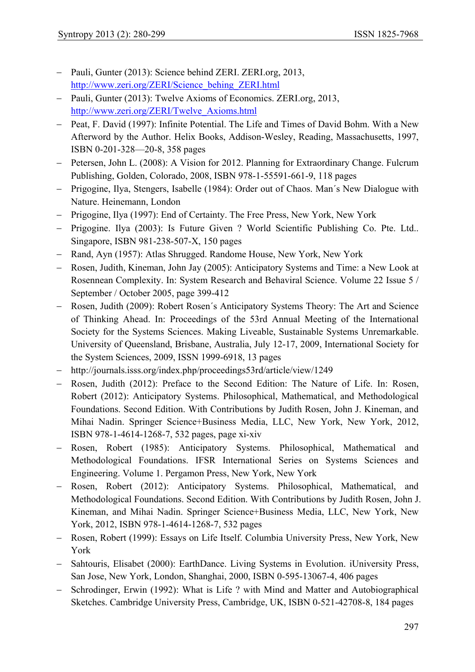- − Pauli, Gunter (2013): Science behind ZERI. ZERI.org, 2013, http://www.zeri.org/ZERI/Science\_behing\_ZERI.html
- − Pauli, Gunter (2013): Twelve Axioms of Economics. ZERI.org, 2013, http://www.zeri.org/ZERI/Twelve\_Axioms.html
- − Peat, F. David (1997): Infinite Potential. The Life and Times of David Bohm. With a New Afterword by the Author. Helix Books, Addison-Wesley, Reading, Massachusetts, 1997, ISBN 0-201-328—20-8, 358 pages
- − Petersen, John L. (2008): A Vision for 2012. Planning for Extraordinary Change. Fulcrum Publishing, Golden, Colorado, 2008, ISBN 978-1-55591-661-9, 118 pages
- − Prigogine, Ilya, Stengers, Isabelle (1984): Order out of Chaos. Man´s New Dialogue with Nature. Heinemann, London
- − Prigogine, Ilya (1997): End of Certainty. The Free Press, New York, New York
- − Prigogine. Ilya (2003): Is Future Given ? World Scientific Publishing Co. Pte. Ltd.. Singapore, ISBN 981-238-507-X, 150 pages
- − Rand, Ayn (1957): Atlas Shrugged. Randome House, New York, New York
- − Rosen, Judith, Kineman, John Jay (2005): Anticipatory Systems and Time: a New Look at Rosennean Complexity. In: System Research and Behaviral Science. Volume 22 Issue 5 / September / October 2005, page 399-412
- − Rosen, Judith (2009): Robert Rosen´s Anticipatory Systems Theory: The Art and Science of Thinking Ahead. In: Proceedings of the 53rd Annual Meeting of the International Society for the Systems Sciences. Making Liveable, Sustainable Systems Unremarkable. University of Queensland, Brisbane, Australia, July 12-17, 2009, International Society for the System Sciences, 2009, ISSN 1999-6918, 13 pages
- − http://journals.isss.org/index.php/proceedings53rd/article/view/1249
- − Rosen, Judith (2012): Preface to the Second Edition: The Nature of Life. In: Rosen, Robert (2012): Anticipatory Systems. Philosophical, Mathematical, and Methodological Foundations. Second Edition. With Contributions by Judith Rosen, John J. Kineman, and Mihai Nadin. Springer Science+Business Media, LLC, New York, New York, 2012, ISBN 978-1-4614-1268-7, 532 pages, page xi-xiv
- − Rosen, Robert (1985): Anticipatory Systems. Philosophical, Mathematical and Methodological Foundations. IFSR International Series on Systems Sciences and Engineering. Volume 1. Pergamon Press, New York, New York
- − Rosen, Robert (2012): Anticipatory Systems. Philosophical, Mathematical, and Methodological Foundations. Second Edition. With Contributions by Judith Rosen, John J. Kineman, and Mihai Nadin. Springer Science+Business Media, LLC, New York, New York, 2012, ISBN 978-1-4614-1268-7, 532 pages
- − Rosen, Robert (1999): Essays on Life Itself. Columbia University Press, New York, New York
- − Sahtouris, Elisabet (2000): EarthDance. Living Systems in Evolution. iUniversity Press, San Jose, New York, London, Shanghai, 2000, ISBN 0-595-13067-4, 406 pages
- Schrodinger, Erwin (1992): What is Life ? with Mind and Matter and Autobiographical Sketches. Cambridge University Press, Cambridge, UK, ISBN 0-521-42708-8, 184 pages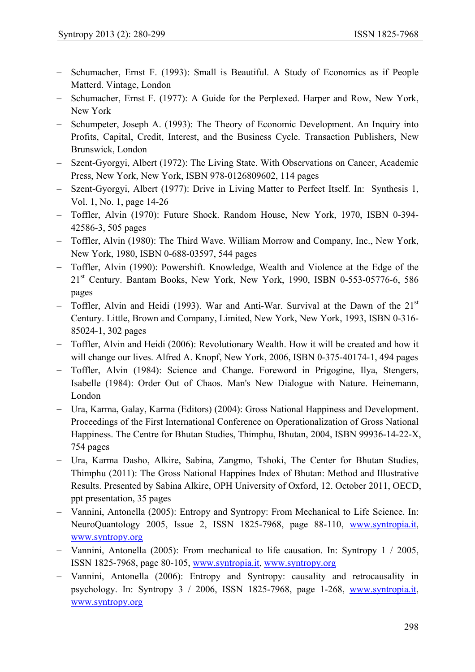- − Schumacher, Ernst F. (1993): Small is Beautiful. A Study of Economics as if People Matterd. Vintage, London
- − Schumacher, Ernst F. (1977): A Guide for the Perplexed. Harper and Row, New York, New York
- − Schumpeter, Joseph A. (1993): The Theory of Economic Development. An Inquiry into Profits, Capital, Credit, Interest, and the Business Cycle. Transaction Publishers, New Brunswick, London
- − Szent-Gyorgyi, Albert (1972): The Living State. With Observations on Cancer, Academic Press, New York, New York, ISBN 978-0126809602, 114 pages
- − Szent-Gyorgyi, Albert (1977): Drive in Living Matter to Perfect Itself. In: Synthesis 1, Vol. 1, No. 1, page 14-26
- − Toffler, Alvin (1970): Future Shock. Random House, New York, 1970, ISBN 0-394- 42586-3, 505 pages
- − Toffler, Alvin (1980): The Third Wave. William Morrow and Company, Inc., New York, New York, 1980, ISBN 0-688-03597, 544 pages
- − Toffler, Alvin (1990): Powershift. Knowledge, Wealth and Violence at the Edge of the 21st Century. Bantam Books, New York, New York, 1990, ISBN 0-553-05776-6, 586 pages
- $\Delta$ Toffler, Alvin and Heidi (1993). War and Anti-War. Survival at the Dawn of the 21<sup>st</sup> Century. Little, Brown and Company, Limited, New York, New York, 1993, ISBN 0-316- 85024-1, 302 pages
- − Toffler, Alvin and Heidi (2006): Revolutionary Wealth. How it will be created and how it will change our lives. Alfred A. Knopf, New York, 2006, ISBN 0-375-40174-1, 494 pages
- − Toffler, Alvin (1984): Science and Change. Foreword in Prigogine, Ilya, Stengers, Isabelle (1984): Order Out of Chaos. Man's New Dialogue with Nature. Heinemann, London
- − Ura, Karma, Galay, Karma (Editors) (2004): Gross National Happiness and Development. Proceedings of the First International Conference on Operationalization of Gross National Happiness. The Centre for Bhutan Studies, Thimphu, Bhutan, 2004, ISBN 99936-14-22-X, 754 pages
- − Ura, Karma Dasho, Alkire, Sabina, Zangmo, Tshoki, The Center for Bhutan Studies, Thimphu (2011): The Gross National Happines Index of Bhutan: Method and Illustrative Results. Presented by Sabina Alkire, OPH University of Oxford, 12. October 2011, OECD, ppt presentation, 35 pages
- − Vannini, Antonella (2005): Entropy and Syntropy: From Mechanical to Life Science. In: NeuroQuantology 2005, Issue 2, ISSN 1825-7968, page 88-110, www.syntropia.it, www.syntropy.org
- − Vannini, Antonella (2005): From mechanical to life causation. In: Syntropy 1 / 2005, ISSN 1825-7968, page 80-105, www.syntropia.it, www.syntropy.org
- − Vannini, Antonella (2006): Entropy and Syntropy: causality and retrocausality in psychology. In: Syntropy 3 / 2006, ISSN 1825-7968, page 1-268, www.syntropia.it, www.syntropy.org